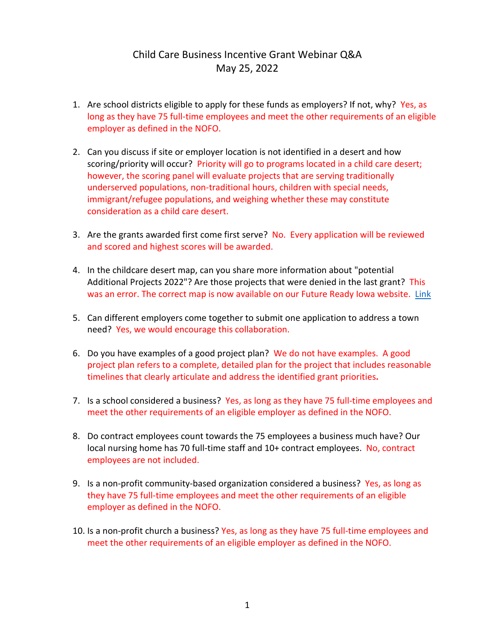# Child Care Business Incentive Grant Webinar Q&A May 25, 2022

- 1. Are school districts eligible to apply for these funds as employers? If not, why? Yes, as long as they have 75 full-time employees and meet the other requirements of an eligible employer as defined in the NOFO.
- 2. Can you discuss if site or employer location is not identified in a desert and how scoring/priority will occur? Priority will go to programs located in a child care desert; however, the scoring panel will evaluate projects that are serving traditionally underserved populations, non-traditional hours, children with special needs, immigrant/refugee populations, and weighing whether these may constitute consideration as a child care desert.
- 3. Are the grants awarded first come first serve? No. Every application will be reviewed and scored and highest scores will be awarded.
- 4. In the childcare desert map, can you share more information about "potential Additional Projects 2022"? Are those projects that were denied in the last grant? This was an error. The correct map is now available on our Future Ready Iowa website. [Link](https://www.futurereadyiowa.gov/sites/fri/files/basic_page_files/Child%20Care%20Dessert%20with%20Child%20Care%20Awards%202021%20%26%202022%20%28Updated%2002-11-22%29.pdf)
- 5. Can different employers come together to submit one application to address a town need? Yes, we would encourage this collaboration.
- 6. Do you have examples of a good project plan? We do not have examples. A good project plan refers to a complete, detailed plan for the project that includes reasonable timelines that clearly articulate and address the identified grant priorities**.**
- 7. Is a school considered a business? Yes, as long as they have 75 full-time employees and meet the other requirements of an eligible employer as defined in the NOFO.
- 8. Do contract employees count towards the 75 employees a business much have? Our local nursing home has 70 full-time staff and 10+ contract employees. No, contract employees are not included.
- 9. Is a non-profit community-based organization considered a business? Yes, as long as they have 75 full-time employees and meet the other requirements of an eligible employer as defined in the NOFO.
- 10. Is a non-profit church a business? Yes, as long as they have 75 full-time employees and meet the other requirements of an eligible employer as defined in the NOFO.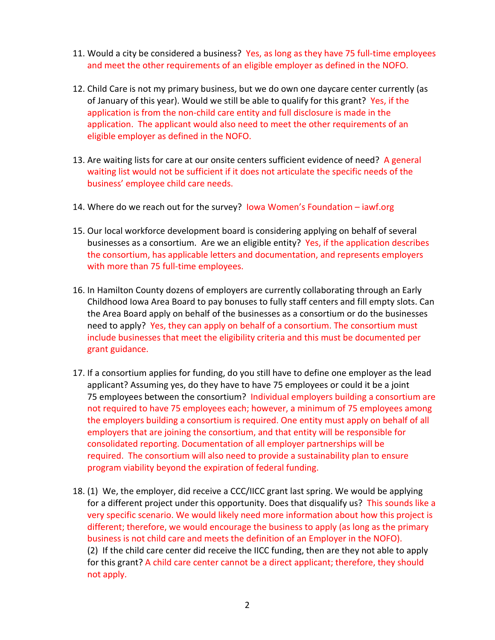- 11. Would a city be considered a business? Yes, as long as they have 75 full-time employees and meet the other requirements of an eligible employer as defined in the NOFO.
- 12. Child Care is not my primary business, but we do own one daycare center currently (as of January of this year). Would we still be able to qualify for this grant? Yes, if the application is from the non-child care entity and full disclosure is made in the application. The applicant would also need to meet the other requirements of an eligible employer as defined in the NOFO.
- 13. Are waiting lists for care at our onsite centers sufficient evidence of need? A general waiting list would not be sufficient if it does not articulate the specific needs of the business' employee child care needs.
- 14. Where do we reach out for the survey? Iowa Women's Foundation iawf.org
- 15. Our local workforce development board is considering applying on behalf of several businesses as a consortium. Are we an eligible entity? Yes, if the application describes the consortium, has applicable letters and documentation, and represents employers with more than 75 full-time employees.
- 16. In Hamilton County dozens of employers are currently collaborating through an Early Childhood Iowa Area Board to pay bonuses to fully staff centers and fill empty slots. Can the Area Board apply on behalf of the businesses as a consortium or do the businesses need to apply? Yes, they can apply on behalf of a consortium. The consortium must include businesses that meet the eligibility criteria and this must be documented per grant guidance.
- 17. If a consortium applies for funding, do you still have to define one employer as the lead applicant? Assuming yes, do they have to have 75 employees or could it be a joint 75 employees between the consortium? Individual employers building a consortium are not required to have 75 employees each; however, a minimum of 75 employees among the employers building a consortium is required. One entity must apply on behalf of all employers that are joining the consortium, and that entity will be responsible for consolidated reporting. Documentation of all employer partnerships will be required. The consortium will also need to provide a sustainability plan to ensure program viability beyond the expiration of federal funding.
- 18. (1) We, the employer, did receive a CCC/IICC grant last spring. We would be applying for a different project under this opportunity. Does that disqualify us? This sounds like a very specific scenario. We would likely need more information about how this project is different; therefore, we would encourage the business to apply (as long as the primary business is not child care and meets the definition of an Employer in the NOFO). (2) If the child care center did receive the IICC funding, then are they not able to apply for this grant? A child care center cannot be a direct applicant; therefore, they should not apply.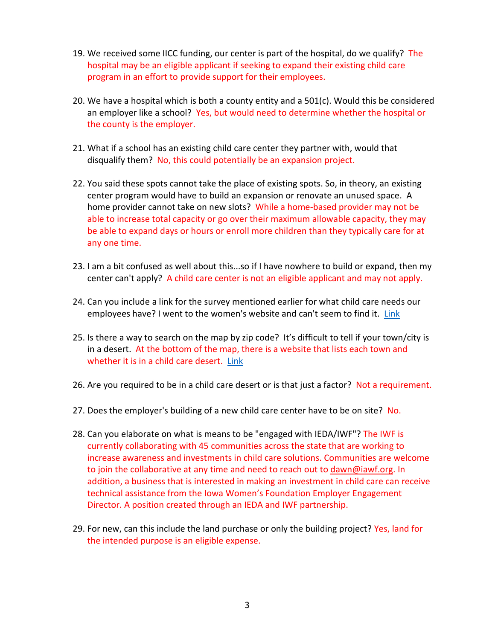- 19. We received some IICC funding, our center is part of the hospital, do we qualify? The hospital may be an eligible applicant if seeking to expand their existing child care program in an effort to provide support for their employees.
- 20. We have a hospital which is both a county entity and a 501(c). Would this be considered an employer like a school? Yes, but would need to determine whether the hospital or the county is the employer.
- 21. What if a school has an existing child care center they partner with, would that disqualify them? No, this could potentially be an expansion project.
- 22. You said these spots cannot take the place of existing spots. So, in theory, an existing center program would have to build an expansion or renovate an unused space. A home provider cannot take on new slots? While a home-based provider may not be able to increase total capacity or go over their maximum allowable capacity, they may be able to expand days or hours or enroll more children than they typically care for at any one time.
- 23. I am a bit confused as well about this...so if I have nowhere to build or expand, then my center can't apply? A child care center is not an eligible applicant and may not apply.
- 24. Can you include a link for the survey mentioned earlier for what child care needs our employees have? I went to the women's website and can't seem to find it. [Link](https://iawf.org/business/)
- 25. Is there a way to search on the map by zip code? It's difficult to tell if your town/city is in a desert. At the bottom of the map, there is a website that lists each town and whether it is in a child care desert. [Link](https://iowaccrr.org/resources/files/Data/FY20/Desert%20Data%202020/Desert%20Data%202020.pdf)
- 26. Are you required to be in a child care desert or is that just a factor? Not a requirement.
- 27. Does the employer's building of a new child care center have to be on site? No.
- 28. Can you elaborate on what is means to be "engaged with IEDA/IWF"? The IWF is currently collaborating with 45 communities across the state that are working to increase awareness and investments in child care solutions. Communities are welcome to join the collaborative at any time and need to reach out t[o dawn@iawf.org.](mailto:dawn@iawf.org) In addition, a business that is interested in making an investment in child care can receive technical assistance from the Iowa Women's Foundation Employer Engagement Director. A position created through an IEDA and IWF partnership.
- 29. For new, can this include the land purchase or only the building project? Yes, land for the intended purpose is an eligible expense.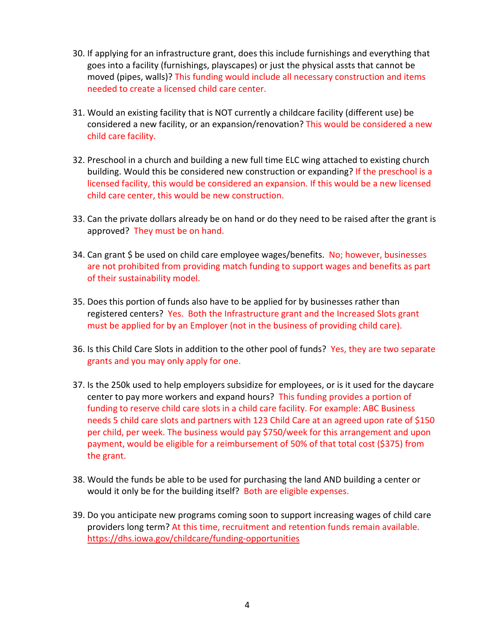- 30. If applying for an infrastructure grant, does this include furnishings and everything that goes into a facility (furnishings, playscapes) or just the physical assts that cannot be moved (pipes, walls)? This funding would include all necessary construction and items needed to create a licensed child care center.
- 31. Would an existing facility that is NOT currently a childcare facility (different use) be considered a new facility, or an expansion/renovation? This would be considered a new child care facility.
- 32. Preschool in a church and building a new full time ELC wing attached to existing church building. Would this be considered new construction or expanding? If the preschool is a licensed facility, this would be considered an expansion. If this would be a new licensed child care center, this would be new construction.
- 33. Can the private dollars already be on hand or do they need to be raised after the grant is approved? They must be on hand.
- 34. Can grant \$ be used on child care employee wages/benefits. No; however, businesses are not prohibited from providing match funding to support wages and benefits as part of their sustainability model.
- 35. Does this portion of funds also have to be applied for by businesses rather than registered centers? Yes. Both the Infrastructure grant and the Increased Slots grant must be applied for by an Employer (not in the business of providing child care).
- 36. Is this Child Care Slots in addition to the other pool of funds? Yes, they are two separate grants and you may only apply for one.
- 37. Is the 250k used to help employers subsidize for employees, or is it used for the daycare center to pay more workers and expand hours? This funding provides a portion of funding to reserve child care slots in a child care facility. For example: ABC Business needs 5 child care slots and partners with 123 Child Care at an agreed upon rate of \$150 per child, per week. The business would pay \$750/week for this arrangement and upon payment, would be eligible for a reimbursement of 50% of that total cost (\$375) from the grant.
- 38. Would the funds be able to be used for purchasing the land AND building a center or would it only be for the building itself? Both are eligible expenses.
- 39. Do you anticipate new programs coming soon to support increasing wages of child care providers long term? At this time, recruitment and retention funds remain available. <https://dhs.iowa.gov/childcare/funding-opportunities>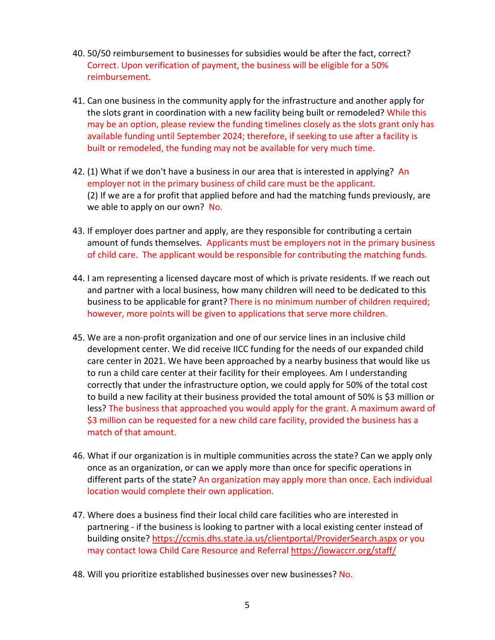- 40. 50/50 reimbursement to businesses for subsidies would be after the fact, correct? Correct. Upon verification of payment, the business will be eligible for a 50% reimbursement.
- 41. Can one business in the community apply for the infrastructure and another apply for the slots grant in coordination with a new facility being built or remodeled? While this may be an option, please review the funding timelines closely as the slots grant only has available funding until September 2024; therefore, if seeking to use after a facility is built or remodeled, the funding may not be available for very much time.
- 42. (1) What if we don't have a business in our area that is interested in applying? An employer not in the primary business of child care must be the applicant. (2) If we are a for profit that applied before and had the matching funds previously, are we able to apply on our own? No.
- 43. If employer does partner and apply, are they responsible for contributing a certain amount of funds themselves. Applicants must be employers not in the primary business of child care. The applicant would be responsible for contributing the matching funds.
- 44. I am representing a licensed daycare most of which is private residents. If we reach out and partner with a local business, how many children will need to be dedicated to this business to be applicable for grant? There is no minimum number of children required; however, more points will be given to applications that serve more children.
- 45. We are a non-profit organization and one of our service lines in an inclusive child development center. We did receive IICC funding for the needs of our expanded child care center in 2021. We have been approached by a nearby business that would like us to run a child care center at their facility for their employees. Am I understanding correctly that under the infrastructure option, we could apply for 50% of the total cost to build a new facility at their business provided the total amount of 50% is \$3 million or less? The business that approached you would apply for the grant. A maximum award of \$3 million can be requested for a new child care facility, provided the business has a match of that amount.
- 46. What if our organization is in multiple communities across the state? Can we apply only once as an organization, or can we apply more than once for specific operations in different parts of the state? An organization may apply more than once. Each individual location would complete their own application.
- 47. Where does a business find their local child care facilities who are interested in partnering - if the business is looking to partner with a local existing center instead of building onsite?<https://ccmis.dhs.state.ia.us/clientportal/ProviderSearch.aspx> or you may contact Iowa Child Care Resource and Referral<https://iowaccrr.org/staff/>
- 48. Will you prioritize established businesses over new businesses? No.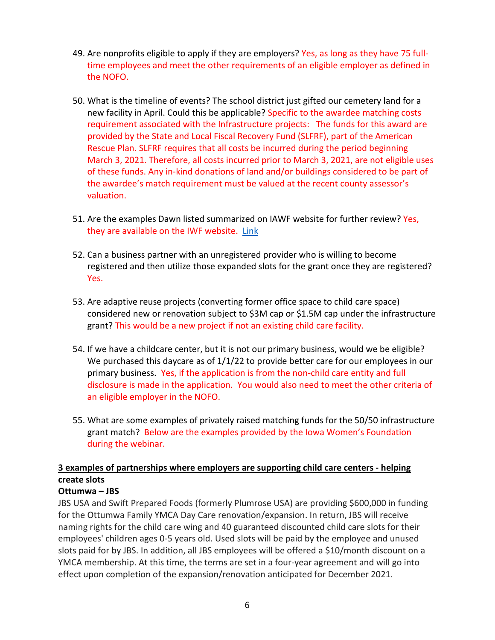- 49. Are nonprofits eligible to apply if they are employers? Yes, as long as they have 75 fulltime employees and meet the other requirements of an eligible employer as defined in the NOFO.
- 50. What is the timeline of events? The school district just gifted our cemetery land for a new facility in April. Could this be applicable? Specific to the awardee matching costs requirement associated with the Infrastructure projects: The funds for this award are provided by the State and Local Fiscal Recovery Fund (SLFRF), part of the American Rescue Plan. SLFRF requires that all costs be incurred during the period beginning March 3, 2021. Therefore, all costs incurred prior to March 3, 2021, are not eligible uses of these funds. Any in-kind donations of land and/or buildings considered to be part of the awardee's match requirement must be valued at the recent county assessor's valuation.
- 51. Are the examples Dawn listed summarized on IAWF website for further review? Yes, they are available on the IWF website. [Link](https://iawf.org/business/)
- 52. Can a business partner with an unregistered provider who is willing to become registered and then utilize those expanded slots for the grant once they are registered? Yes.
- 53. Are adaptive reuse projects (converting former office space to child care space) considered new or renovation subject to \$3M cap or \$1.5M cap under the infrastructure grant? This would be a new project if not an existing child care facility.
- 54. If we have a childcare center, but it is not our primary business, would we be eligible? We purchased this daycare as of  $1/1/22$  to provide better care for our employees in our primary business. Yes, if the application is from the non-child care entity and full disclosure is made in the application. You would also need to meet the other criteria of an eligible employer in the NOFO.
- 55. What are some examples of privately raised matching funds for the 50/50 infrastructure grant match? Below are the examples provided by the Iowa Women's Foundation during the webinar.

## **3 examples of partnerships where employers are supporting child care centers - helping create slots**

### **Ottumwa – JBS**

JBS USA and Swift Prepared Foods (formerly Plumrose USA) are providing \$600,000 in funding for the Ottumwa Family YMCA Day Care renovation/expansion. In return, JBS will receive naming rights for the child care wing and 40 guaranteed discounted child care slots for their employees' children ages 0-5 years old. Used slots will be paid by the employee and unused slots paid for by JBS. In addition, all JBS employees will be offered a \$10/month discount on a YMCA membership. At this time, the terms are set in a four-year agreement and will go into effect upon completion of the expansion/renovation anticipated for December 2021.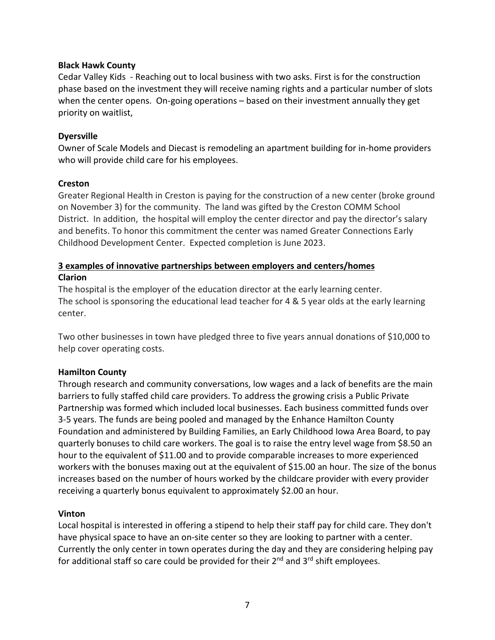### **Black Hawk County**

Cedar Valley Kids - Reaching out to local business with two asks. First is for the construction phase based on the investment they will receive naming rights and a particular number of slots when the center opens. On-going operations – based on their investment annually they get priority on waitlist,

### **Dyersville**

Owner of Scale Models and Diecast is remodeling an apartment building for in-home providers who will provide child care for his employees.

### **Creston**

Greater Regional Health in Creston is paying for the construction of a new center (broke ground on November 3) for the community. The land was gifted by the Creston COMM School District. In addition, the hospital will employ the center director and pay the director's salary and benefits. To honor this commitment the center was named Greater Connections Early Childhood Development Center. Expected completion is June 2023.

### **3 examples of innovative partnerships between employers and centers/homes Clarion**

The hospital is the employer of the education director at the early learning center. The school is sponsoring the educational lead teacher for 4 & 5 year olds at the early learning center.

Two other businesses in town have pledged three to five years annual donations of \$10,000 to help cover operating costs.

### **Hamilton County**

Through research and community conversations, low wages and a lack of benefits are the main barriers to fully staffed child care providers. To address the growing crisis a Public Private Partnership was formed which included local businesses. Each business committed funds over 3-5 years. The funds are being pooled and managed by the Enhance Hamilton County Foundation and administered by Building Families, an Early Childhood Iowa Area Board, to pay quarterly bonuses to child care workers. The goal is to raise the entry level wage from \$8.50 an hour to the equivalent of \$11.00 and to provide comparable increases to more experienced workers with the bonuses maxing out at the equivalent of \$15.00 an hour. The size of the bonus increases based on the number of hours worked by the childcare provider with every provider receiving a quarterly bonus equivalent to approximately \$2.00 an hour.

#### **Vinton**

Local hospital is interested in offering a stipend to help their staff pay for child care. They don't have physical space to have an on-site center so they are looking to partner with a center. Currently the only center in town operates during the day and they are considering helping pay for additional staff so care could be provided for their  $2^{nd}$  and  $3^{rd}$  shift employees.